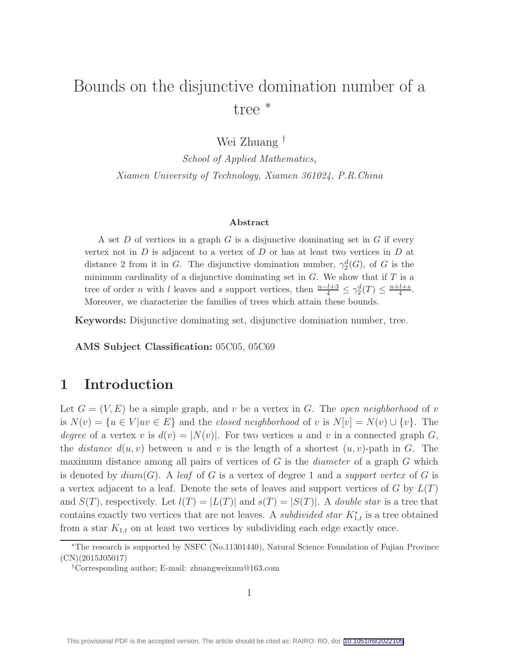# Bounds on the disjunctive domination number of a tree <sup>∗</sup>

Wei Zhuang †

School of Applied Mathematics, Xiamen University of Technology, Xiamen 361024, P.R.China

#### Abstract

A set D of vertices in a graph G is a disjunctive dominating set in G if every vertex not in  $D$  is adjacent to a vertex of  $D$  or has at least two vertices in  $D$  at distance 2 from it in G. The disjunctive domination number,  $\gamma_2^d(G)$ , of G is the minimum cardinality of a disjunctive dominating set in  $G$ . We show that if  $T$  is a tree of order *n* with l leaves and s support vertices, then  $\frac{n-l+3}{4} \leq \gamma_2^d(T) \leq \frac{n+l+s}{4}$  $\frac{t+s}{4}$ . Moreover, we characterize the families of trees which attain these bounds.

Keywords: Disjunctive dominating set, disjunctive domination number, tree.

AMS Subject Classification: 05C05, 05C69

# 1 Introduction

Let  $G = (V, E)$  be a simple graph, and v be a vertex in G. The *open neighborhood* of v is  $N(v) = \{u \in V | uv \in E\}$  and the closed neighborhood of v is  $N[v] = N(v) \cup \{v\}$ . The degree of a vertex v is  $d(v) = |N(v)|$ . For two vertices u and v in a connected graph G, the *distance*  $d(u, v)$  between u and v is the length of a shortest  $(u, v)$ -path in G. The maximum distance among all pairs of vertices of  $G$  is the *diameter* of a graph  $G$  which is denoted by  $diam(G)$ . A leaf of G is a vertex of degree 1 and a support vertex of G is a vertex adjacent to a leaf. Denote the sets of leaves and support vertices of G by  $L(T)$ and  $S(T)$ , respectively. Let  $l(T) = |L(T)|$  and  $s(T) = |S(T)|$ . A *double star* is a tree that contains exactly two vertices that are not leaves. A *subdivided star*  $K_{1,t}^*$  is a tree obtained from a star  $K_{1,t}$  on at least two vertices by subdividing each edge exactly once.

<sup>∗</sup>The research is supported by NSFC (No.11301440), Natural Science Foundation of Fujian Province (CN)(2015J05017)

<sup>†</sup>Corresponding author; E-mail: zhuangweixmu@163.com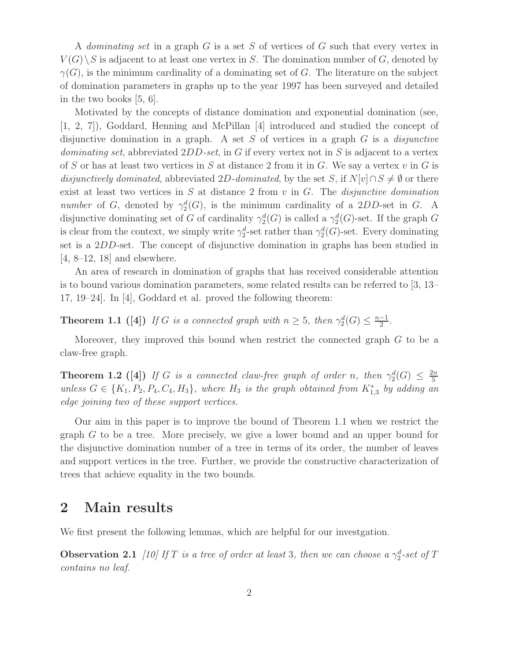A dominating set in a graph G is a set S of vertices of G such that every vertex in  $V(G) \backslash S$  is adjacent to at least one vertex in S. The domination number of G, denoted by  $\gamma(G)$ , is the minimum cardinality of a dominating set of G. The literature on the subject of domination parameters in graphs up to the year 1997 has been surveyed and detailed in the two books [5, 6].

Motivated by the concepts of distance domination and exponential domination (see, [1, 2, 7]), Goddard, Henning and McPillan [4] introduced and studied the concept of disjunctive domination in a graph. A set  $S$  of vertices in a graph  $G$  is a *disjunctive* dominating set, abbreviated  $2DD\text{-}set$ , in G if every vertex not in S is adjacent to a vertex of S or has at least two vertices in S at distance 2 from it in G. We say a vertex  $v$  in G is disjunctively dominated, abbreviated 2D-dominated, by the set S, if  $N[v] \cap S \neq \emptyset$  or there exist at least two vertices in  $S$  at distance 2 from  $v$  in  $G$ . The *disjunctive domination* number of G, denoted by  $\gamma_2^d(G)$ , is the minimum cardinality of a 2DD-set in G. A disjunctive dominating set of G of cardinality  $\gamma_2^d(G)$  is called a  $\gamma_2^d(G)$ -set. If the graph G is clear from the context, we simply write  $\gamma_2^d$ -set rather than  $\gamma_2^d(G)$ -set. Every dominating set is a 2DD-set. The concept of disjunctive domination in graphs has been studied in  $[4, 8-12, 18]$  and elsewhere.

An area of research in domination of graphs that has received considerable attention is to bound various domination parameters, some related results can be referred to [3, 13– 17, 19–24]. In [4], Goddard et al. proved the following theorem:

**Theorem 1.1** ([4]) If G is a connected graph with  $n \geq 5$ , then  $\gamma_2^d(G) \leq \frac{n-1}{2}$  $\frac{-1}{2}$ .

Moreover, they improved this bound when restrict the connected graph G to be a claw-free graph.

**Theorem 1.2** ([4]) If G is a connected claw-free graph of order n, then  $\gamma_2^d(G) \leq \frac{2n}{5}$ 5 unless  $G \in \{K_1, P_2, P_4, C_4, H_3\}$ , where  $H_3$  is the graph obtained from  $K_{1,3}^*$  by adding an edge joining two of these support vertices.

Our aim in this paper is to improve the bound of Theorem 1.1 when we restrict the graph G to be a tree. More precisely, we give a lower bound and an upper bound for the disjunctive domination number of a tree in terms of its order, the number of leaves and support vertices in the tree. Further, we provide the constructive characterization of trees that achieve equality in the two bounds.

### 2 Main results

We first present the following lemmas, which are helpful for our investgation.

**Observation 2.1** [10] If T is a tree of order at least 3, then we can choose a  $\gamma_2^d$ -set of T contains no leaf.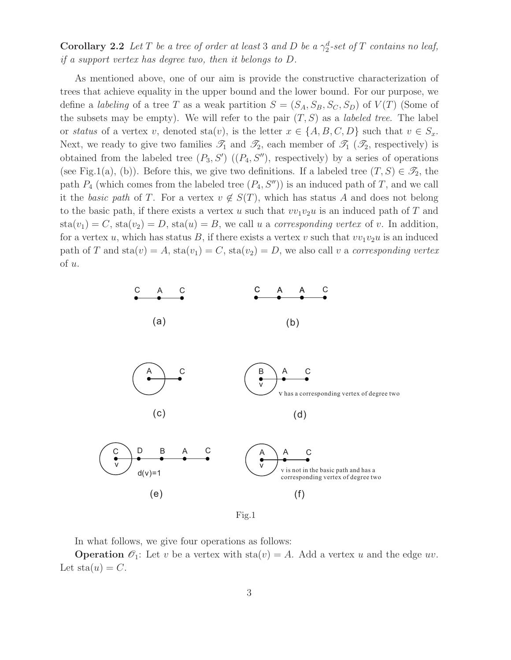**Corollary 2.2** Let T be a tree of order at least 3 and D be a  $\gamma_2^d$ -set of T contains no leaf, if a support vertex has degree two, then it belongs to D.

As mentioned above, one of our aim is provide the constructive characterization of trees that achieve equality in the upper bound and the lower bound. For our purpose, we define a *labeling* of a tree T as a weak partition  $S = (S_A, S_B, S_C, S_D)$  of  $V(T)$  (Some of the subsets may be empty). We will refer to the pair  $(T, S)$  as a *labeled tree*. The label or status of a vertex v, denoted sta(v), is the letter  $x \in \{A, B, C, D\}$  such that  $v \in S_x$ . Next, we ready to give two families  $\mathscr{T}_1$  and  $\mathscr{T}_2$ , each member of  $\mathscr{T}_1$  ( $\mathscr{T}_2$ , respectively) is obtained from the labeled tree  $(P_3, S')$   $((P_4, S'')$ , respectively) by a series of operations (see Fig.1(a), (b)). Before this, we give two definitions. If a labeled tree  $(T, S) \in \mathcal{F}_2$ , the path  $P_4$  (which comes from the labeled tree  $(P_4, S'')$ ) is an induced path of T, and we call it the basic path of T. For a vertex  $v \notin S(T)$ , which has status A and does not belong to the basic path, if there exists a vertex u such that  $vv_1v_2u$  is an induced path of T and  $sta(v_1) = C$ ,  $sta(v_2) = D$ ,  $sta(u) = B$ , we call u a corresponding vertex of v. In addition, for a vertex u, which has status B, if there exists a vertex v such that  $vv_1v_2u$  is an induced path of T and  $sta(v) = A$ ,  $sta(v_1) = C$ ,  $sta(v_2) = D$ , we also call v a corresponding vertex of u.



Fig.1

In what follows, we give four operations as follows:

**Operation**  $\mathcal{O}_1$ : Let v be a vertex with sta $(v) = A$ . Add a vertex u and the edge uv. Let  $sta(u) = C$ .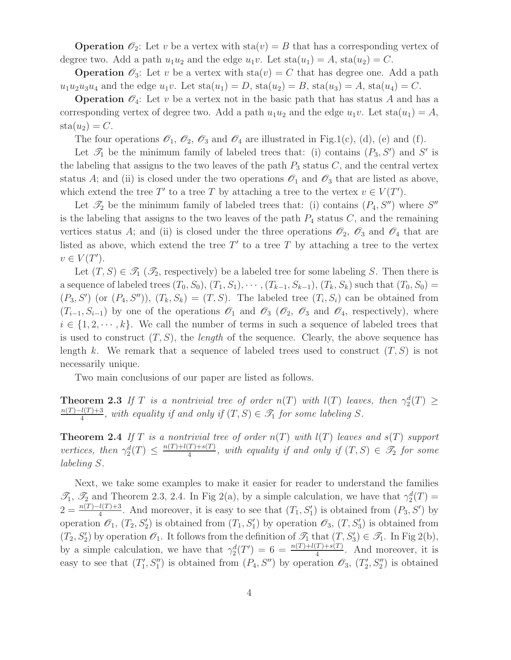**Operation**  $\mathcal{O}_2$ : Let v be a vertex with  $sta(v) = B$  that has a corresponding vertex of degree two. Add a path  $u_1u_2$  and the edge  $u_1v$ . Let  $sta(u_1) = A$ ,  $sta(u_2) = C$ .

**Operation**  $\mathcal{O}_3$ : Let v be a vertex with  $sta(v) = C$  that has degree one. Add a path  $u_1u_2u_3u_4$  and the edge  $u_1v$ . Let  $sta(u_1) = D$ ,  $sta(u_2) = B$ ,  $sta(u_3) = A$ ,  $sta(u_4) = C$ .

**Operation**  $\mathcal{O}_4$ : Let v be a vertex not in the basic path that has status A and has a corresponding vertex of degree two. Add a path  $u_1u_2$  and the edge  $u_1v$ . Let  $sta(u_1) = A$ ,  $sta(u_2) = C.$ 

The four operations  $\mathcal{O}_1$ ,  $\mathcal{O}_2$ ,  $\mathcal{O}_3$  and  $\mathcal{O}_4$  are illustrated in Fig.1(c), (d), (e) and (f).

Let  $\mathscr{T}_1$  be the minimum family of labeled trees that: (i) contains  $(P_3, S')$  and S' is the labeling that assigns to the two leaves of the path  $P_3$  status  $C$ , and the central vertex status A; and (ii) is closed under the two operations  $\mathscr{O}_1$  and  $\mathscr{O}_3$  that are listed as above, which extend the tree T' to a tree T by attaching a tree to the vertex  $v \in V(T')$ .

Let  $\mathcal{T}_2$  be the minimum family of labeled trees that: (i) contains  $(P_4, S'')$  where  $S''$ is the labeling that assigns to the two leaves of the path  $P_4$  status  $C$ , and the remaining vertices status A; and (ii) is closed under the three operations  $\mathcal{O}_2$ ,  $\mathcal{O}_3$  and  $\mathcal{O}_4$  that are listed as above, which extend the tree  $T'$  to a tree T by attaching a tree to the vertex  $v \in V(T')$ .

Let  $(T, S) \in \mathcal{T}_1(\mathcal{T}_2)$ , respectively) be a labeled tree for some labeling S. Then there is a sequence of labeled trees  $(T_0, S_0), (T_1, S_1), \cdots, (T_{k-1}, S_{k-1}), (T_k, S_k)$  such that  $(T_0, S_0)$  =  $(P_3, S')$  (or  $(P_4, S'')$ ),  $(T_k, S_k) = (T, S)$ . The labeled tree  $(T_i, S_i)$  can be obtained from  $(T_{i-1}, S_{i-1})$  by one of the operations  $\mathscr{O}_1$  and  $\mathscr{O}_3$  ( $\mathscr{O}_2$ ,  $\mathscr{O}_3$  and  $\mathscr{O}_4$ , respectively), where  $i \in \{1, 2, \dots, k\}$ . We call the number of terms in such a sequence of labeled trees that is used to construct  $(T, S)$ , the *length* of the sequence. Clearly, the above sequence has length k. We remark that a sequence of labeled trees used to construct  $(T, S)$  is not necessarily unique.

Two main conclusions of our paper are listed as follows.

**Theorem 2.3** If T is a nontrivial tree of order  $n(T)$  with  $l(T)$  leaves, then  $\gamma_2^d(T) \geq$  $n(T)-l(T)+3$  $\frac{d(T)+3}{4}$ , with equality if and only if  $(T, S) \in \mathcal{T}_1$  for some labeling S.

**Theorem 2.4** If T is a nontrivial tree of order  $n(T)$  with  $l(T)$  leaves and  $s(T)$  support vertices, then  $\gamma_2^d(T) \leq \frac{n(T)+l(T)+s(T)}{4}$  $\frac{(T)+s(T)}{4}$ , with equality if and only if  $(T, S) \in \mathscr{T}_2$  for some labeling S.

Next, we take some examples to make it easier for reader to understand the families  $\mathcal{I}_1$ ,  $\mathcal{I}_2$  and Theorem 2.3, 2.4. In Fig 2(a), by a simple calculation, we have that  $\gamma_2^d(T)$  =  $2 = \frac{n(T)-l(T)+3}{4}$ . And moreover, it is easy to see that  $(T_1, S'_1)$  is obtained from  $(P_3, S')$  by operation  $\mathscr{O}_1$ ,  $(T_2, S'_2)$  is obtained from  $(T_1, S'_1)$  by operation  $\mathscr{O}_3$ ,  $(T, S'_3)$  is obtained from  $(T_2, S'_2)$  by operation  $\mathscr{O}_1$ . It follows from the definition of  $\mathscr{T}_1$  that  $(T, S'_3) \in \mathscr{T}_1$ . In Fig 2(b), by a simple calculation, we have that  $\gamma_2^d(T') = 6 = \frac{n(T)+l(T)+s(T)}{4}$ . And moreover, it is easy to see that  $(T_1')$  $(T'_1, S''_1)$  is obtained from  $(P_4, S'')$  by operation  $\mathscr{O}_3$ ,  $(T'_2)$  $S_2''$  is obtained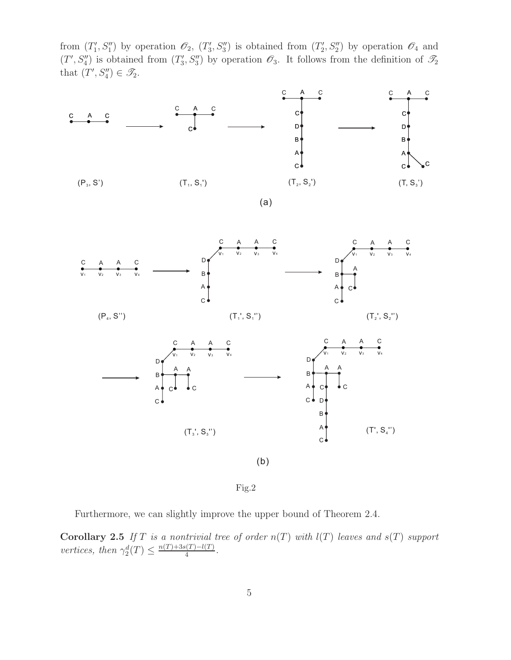from  $(T_1')$  $( T_1', S_1'')$  by operation  $\mathscr{O}_2$ ,  $( T_3'')$  $S_3''$ ) is obtained from  $(T_2'$  $(2', S_2'')$  by operation  $\mathscr{O}_4$  and  $(T', S_4'')$  is obtained from  $(T_3'')$  $S'_3$ ,  $S''_3$ ) by operation  $\mathscr{O}_3$ . It follows from the definition of  $\mathscr{T}_2$ that  $(T', S_4'') \in \mathscr{T}_2$ .



Fig.2

Furthermore, we can slightly improve the upper bound of Theorem 2.4.

**Corollary 2.5** If T is a nontrivial tree of order  $n(T)$  with  $l(T)$  leaves and  $s(T)$  support vertices, then  $\gamma_2^d(T) \leq \frac{n(T) + 3s(T) - l(T)}{4}$  $\frac{l(1)-l(1)}{4}$ .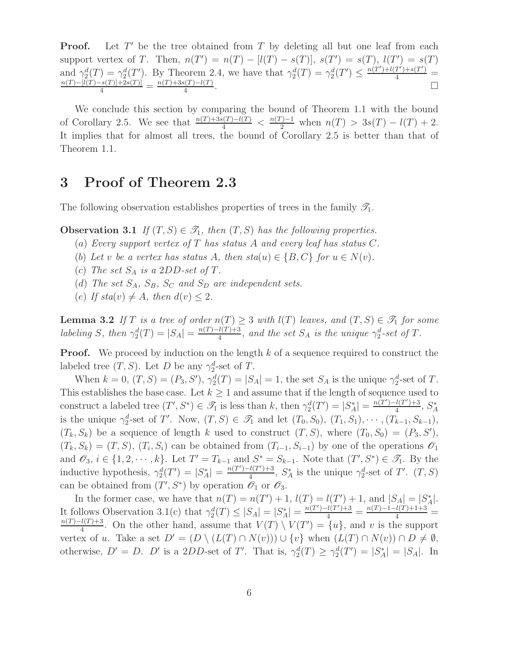Proof. Let  $T'$  be the tree obtained from T by deleting all but one leaf from each support vertex of T. Then,  $n(T') = n(T) - [l(T) - s(T)]$ ,  $s(T') = s(T)$ ,  $l(T') = s(T)$ and  $\gamma_2^d(T) = \gamma_2^d(T')$ . By Theorem 2.4, we have that  $\gamma_2^d(T) = \gamma_2^d(T') \le \frac{n(T') + l(T') + s(T')}{4} = \frac{n(T) - [l(T) - s(T)] + 2s(T)]}{4} = \frac{n(T) + 3s(T) - l(T)}{4}$ .  $\frac{1}{4}$ .

We conclude this section by comparing the bound of Theorem 1.1 with the bound of Corollary 2.5. We see that  $\frac{n(T)+3s(T)-l(T)}{4} < \frac{n(T)-1}{2}$  when  $n(T) > 3s(T) - l(T) + 2$ . It implies that for almost all trees, the bound of Corollary 2.5 is better than that of Theorem 1.1.

## 3 Proof of Theorem 2.3

The following observation establishes properties of trees in the family  $\mathscr{T}_1$ .

**Observation 3.1** If  $(T, S) \in \mathcal{T}_1$ , then  $(T, S)$  has the following properties.

- (a) Every support vertex of T has status A and every leaf has status  $C$ .
- (b) Let v be a vertex has status A, then  $sta(u) \in \{B, C\}$  for  $u \in N(v)$ .
- (c) The set  $S_A$  is a 2DD-set of T.
- (d) The set  $S_A$ ,  $S_B$ ,  $S_C$  and  $S_D$  are independent sets.
- (e) If  $sta(v) \neq A$ , then  $d(v) \leq 2$ .

**Lemma 3.2** If T is a tree of order  $n(T) \geq 3$  with  $l(T)$  leaves, and  $(T, S) \in \mathcal{T}_1$  for some labeling S, then  $\gamma_2^d(T) = |S_A| = \frac{n(T) - l(T) + 3}{4}$  $\frac{d(T)+3}{4}$ , and the set  $S_A$  is the unique  $\gamma_2^d$ -set of T.

**Proof.** We proceed by induction on the length  $k$  of a sequence required to construct the labeled tree  $(T, S)$ . Let D be any  $\gamma_2^d$ -set of T.

When  $k = 0$ ,  $(T, S) = (P_3, S')$ ,  $\gamma_2^d(T) = |S_A| = 1$ , the set  $S_A$  is the unique  $\gamma_2^d$ -set of T. This establishes the base case. Let  $k \geq 1$  and assume that if the length of sequence used to construct a labeled tree  $(T', S^*) \in \overline{\mathcal{I}_1}$  is less than k, then  $\gamma_2^d(T') = |S_A^*| = \frac{n(T') - l(T') + 3}{4}$  $\frac{l(T')+3}{4}$ ,  $S_A^*$ A is the unique  $\gamma_2^d$ -set of T'. Now,  $(T, S) \in \mathscr{T}_1$  and let  $(T_0, S_0)$ ,  $(T_1, S_1)$ ,  $\cdots$ ,  $(T_{k-1}, S_{k-1})$ ,  $(T_k, S_k)$  be a sequence of length k used to construct  $(T, S)$ , where  $(T_0, S_0) = (P_3, S')$ ,  $(T_k, S_k) = (T, S), (T_i, S_i)$  can be obtained from  $(T_{i-1}, S_{i-1})$  by one of the operations  $\mathscr{O}_1$ and  $\mathscr{O}_3$ ,  $i \in \{1, 2, \cdots, k\}$ . Let  $T' = T_{k-1}$  and  $S^* = S_{k-1}$ . Note that  $(T', S^*) \in \mathscr{T}_1$ . By the inductive hypothesis,  $\gamma_2^d(T') = |S_A^*| = \frac{n(T') - l(T') + 3}{4}$  $\frac{l(T') + 3}{4}$ ,  $S_A^*$  is the unique  $\gamma_2^d$ -set of T'.  $(T, S)$ can be obtained from  $(T', S^*)$  by operation  $\mathscr{O}_1$  or  $\mathscr{O}_3$ .

In the former case, we have that  $n(T) = n(T') + 1$ ,  $l(T) = l(T') + 1$ , and  $|S_A| = |S_A^*|$ . It follows Observation 3.1(c) that  $\gamma_2^d(T) \leq |S_A| = |S_A^*| = \frac{n(T') - l(T') + 3}{4} = \frac{n(T) - l - l(T) + 1 + 3}{4} =$  $n(T)-l(T)+3$  $\frac{l(T)+3}{4}$ . On the other hand, assume that  $V(T) \setminus V(T') = \{u\}$ , and v is the support vertex of u. Take a set  $D' = (D \setminus (L(T) \cap N(v))) \cup \{v\}$  when  $(L(T) \cap N(v)) \cap D \neq \emptyset$ , otherwise,  $D' = D$ . D' is a 2DD-set of T'. That is,  $\gamma_2^d(T) \geq \gamma_2^d(T') = |S_A^*| = |S_A|$ . In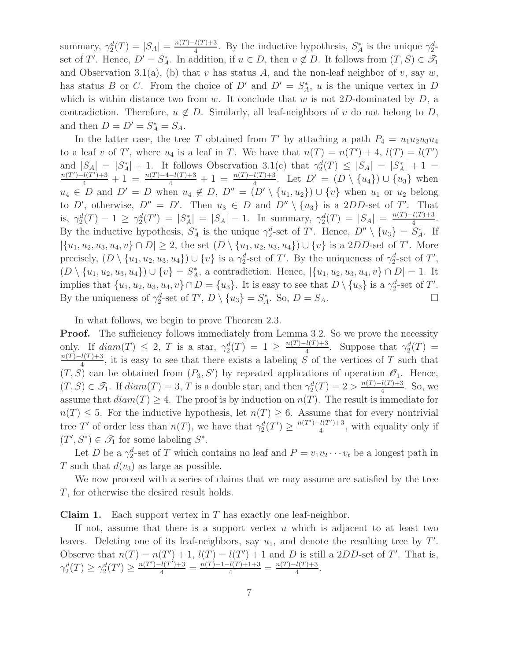summary,  $\gamma_2^d(T) = |S_A| = \frac{n(T) - l(T) + 3}{4}$  $\frac{l(T)+3}{4}$ . By the inductive hypothesis,  $S_A^*$  is the unique  $\gamma_2^d$ set of T'. Hence,  $D' = S_A^*$ . In addition, if  $u \in D$ , then  $v \notin D$ . It follows from  $(T, S) \in \mathcal{T}_1$ and Observation 3.1(a), (b) that v has status A, and the non-leaf neighbor of v, say w, has status B or C. From the choice of  $D'$  and  $D' = S_A^*$ , u is the unique vertex in D which is within distance two from w. It conclude that w is not 2D-dominated by  $D$ , a contradiction. Therefore,  $u \notin D$ . Similarly, all leaf-neighbors of v do not belong to D, and then  $D = D' = S_A^* = S_A$ .

In the latter case, the tree T obtained from T' by attaching a path  $P_4 = u_1 u_2 u_3 u_4$ to a leaf v of T', where  $u_4$  is a leaf in T. We have that  $n(T) = n(T') + 4$ ,  $l(T) = l(T')$ and  $|S_A| = |S_A^*| + 1$ . It follows Observation 3.1(c) that  $\gamma_2^d(T) \leq |S_A| = |S_A^*| + 1$  $\frac{n(T')-l(T')+3}{4}+1=\frac{n(T)-4-l(T)+3}{4}+1=\frac{n(T)-l(T)+3}{4}$ . Let  $D'=(D\setminus\{u_4\})\cup\{u_3\}$  when  $u_4 \in D$  and  $D' = D$  when  $u_4 \notin D$ ,  $D'' = (D' \setminus \{u_1, u_2\}) \cup \{v\}$  when  $u_1$  or  $u_2$  belong to D', otherwise,  $D'' = D'$ . Then  $u_3 \in D$  and  $D'' \setminus \{u_3\}$  is a 2DD-set of T'. That is,  $\gamma_2^d(T) - 1 \ge \gamma_2^d(T') = |S_A| - 1$ . In summary,  $\gamma_2^d(T) = |S_A| = \frac{n(T) - l(T) + 3}{4}$  $\frac{\frac{1}{1+3}}{4}$ . By the inductive hypothesis,  $S_A^*$  is the unique  $\gamma_2^d$ -set of T'. Hence,  $D'' \setminus \{u_3\} = S_A^*$ . If  $|\{u_1, u_2, u_3, u_4, v\} \cap D| \geq 2$ , the set  $(D \setminus \{u_1, u_2, u_3, u_4\}) \cup \{v\}$  is a 2DD-set of T'. More precisely,  $(D \setminus \{u_1, u_2, u_3, u_4\}) \cup \{v\}$  is a  $\gamma_2^d$ -set of T'. By the uniqueness of  $\gamma_2^d$ -set of T',  $(D \setminus \{u_1, u_2, u_3, u_4\}) \cup \{v\} = S_A^*$ , a contradiction. Hence,  $|\{u_1, u_2, u_3, u_4, v\} \cap D| = 1$ . It implies that  $\{u_1, u_2, u_3, u_4, v\} \cap D = \{u_3\}$ . It is easy to see that  $D \setminus \{u_3\}$  is a  $\gamma_2^d$ -set of T'. By the uniqueness of  $\gamma_2^d$ -set of  $T'$ ,  $D \setminus \{u_3\} = S_A^*$ . So,  $D = S_A$ .

In what follows, we begin to prove Theorem 2.3.

**Proof.** The sufficiency follows immediately from Lemma 3.2. So we prove the necessity only. If  $diam(T) \leq 2$ , T is a star,  $\gamma_2^d(T) = 1 \geq \frac{n(T)-l(T)+3}{4}$  $\frac{l(T)+3}{4}$ . Suppose that  $\gamma_2^d(T)$  =  $n(T)-l(T)+3$  $\frac{d(I) + 3}{4}$ , it is easy to see that there exists a labeling S of the vertices of T such that  $(T, S)$  can be obtained from  $(P_3, S')$  by repeated applications of operation  $\mathscr{O}_1$ . Hence,  $(T, S) \in \mathcal{T}_1$ . If  $diam(T) = 3$ , T is a double star, and then  $\gamma_2^d(T) = 2 > \frac{n(T) - l(T) + 3}{4}$  $\frac{\mu(1)+3}{4}$ . So, we assume that  $diam(T) \geq 4$ . The proof is by induction on  $n(T)$ . The result is immediate for  $n(T) \leq 5$ . For the inductive hypothesis, let  $n(T) \geq 6$ . Assume that for every nontrivial tree T' of order less than  $n(T)$ , we have that  $\gamma_2^d(T') \geq \frac{n(T') - l(T') + 3}{4}$  $\frac{l(I') + 3}{4}$ , with equality only if  $(T', S^*) \in \mathcal{T}_1$  for some labeling  $S^*$ .

Let D be a  $\gamma_2^d$ -set of T which contains no leaf and  $P = v_1v_2\cdots v_t$  be a longest path in T such that  $d(v_3)$  as large as possible.

We now proceed with a series of claims that we may assume are satisfied by the tree T, for otherwise the desired result holds.

**Claim 1.** Each support vertex in  $T$  has exactly one leaf-neighbor.

If not, assume that there is a support vertex  $u$  which is adjacent to at least two leaves. Deleting one of its leaf-neighbors, say  $u_1$ , and denote the resulting tree by  $T'$ . Observe that  $n(T) = n(T') + 1$ ,  $l(T) = l(T') + 1$  and D is still a 2DD-set of T'. That is,  $\gamma_2^d(T) \geq \gamma_2^d(T') \geq \frac{n(T') - l(T') + 3}{4} = \frac{n(T') - 1 - l(T) + 1 + 3}{4} = \frac{n(T) - l(T) + 3}{4}$  $\frac{i(1)+3}{4}$ .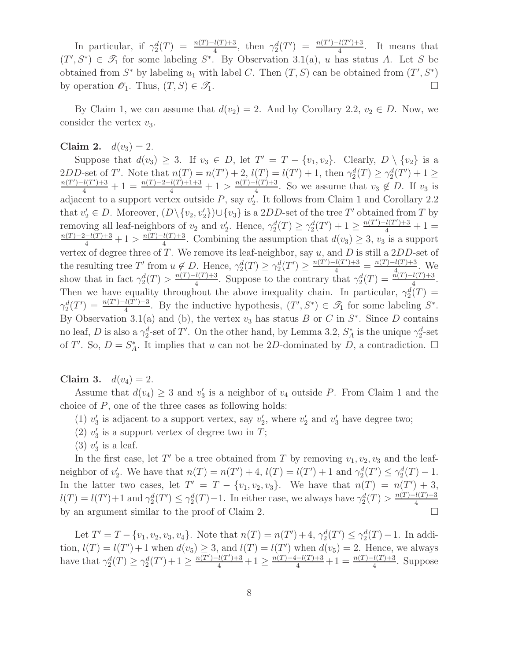In particular, if  $\gamma_2^d(T) = \frac{n(T)-l(T)+3}{4}$ , then  $\gamma_2^d(T') = \frac{n(T')-l(T')+3}{4}$  $\frac{l(l')+3}{4}$ . It means that  $(T', S^*) \in \mathscr{T}_1$  for some labeling  $S^*$ . By Observation 3.1(a), u has status A. Let S be obtained from  $S^*$  by labeling  $u_1$  with label C. Then  $(T, S)$  can be obtained from  $(T', S^*)$ by operation  $\mathcal{O}_1$ . Thus,  $(T, S) \in \mathcal{I}_1$ .

By Claim 1, we can assume that  $d(v_2) = 2$ . And by Corollary 2.2,  $v_2 \in D$ . Now, we consider the vertex  $v_3$ .

#### Claim 2.  $d(v_3) = 2$ .

Suppose that  $d(v_3) \geq 3$ . If  $v_3 \in D$ , let  $T' = T - \{v_1, v_2\}$ . Clearly,  $D \setminus \{v_2\}$  is a 2DD-set of T'. Note that  $n(T) = n(T') + 2$ ,  $l(T) = l(T') + 1$ , then  $\gamma_2^d(T) \geq \gamma_2^d(T') + 1 \geq$  $\frac{n(T')-l(T')+3}{4}+1=\frac{n(T)-2-l(T)+1+3}{4}+1>\frac{n(T)-l(T)+3}{4}$  $\frac{u(1)+3}{4}$ . So we assume that  $v_3 \notin D$ . If  $v_3$  is adjacent to a support vertex outside  $P$ , say  $v_2'$ 2 . It follows from Claim 1 and Corollary 2.2 that  $v_2' \in D$ . Moreover,  $(D \setminus \{v_2, v_2'\}) \cup \{v_3\}$  is a 2DD-set of the tree T' obtained from T by removing all leaf-neighbors of  $v_2$  and  $v_2'$  $\gamma_2^d(T) \geq \gamma_2^d(T') + 1 \geq \frac{n(T') - l(T') + 3}{4} + 1 =$  $\frac{n(T)-2-l(T)+3}{4}+1>\frac{n(T)-l(T)+3}{4}$  $\frac{d(1)+3}{4}$ . Combining the assumption that  $d(v_3) \geq 3$ ,  $v_3$  is a support vertex of degree three of T. We remove its leaf-neighbor, say  $u$ , and D is still a 2DD-set of the resulting tree T' from  $u \notin D$ . Hence,  $\gamma_2^d(T) \geq \gamma_2^d(T') \geq \frac{n(T') - l(T') + 3}{4} = \frac{n(T) - l(T) + 3}{4}$  $\frac{u(1)+3}{4}$ . We show that in fact  $\gamma_2^d(T) > \frac{n(T) - l(T) + 3}{4}$  $\frac{l(T)+3}{4}$ . Suppose to the contrary that  $\gamma_2^d(T) = \frac{\pi(T)-l(T)+3}{4}$ . Then we have equality throughout the above inequality chain. In particular,  $\gamma_2^d(T)$  =  $\gamma_2^d(T') \,=\, \frac{n(T') - l(\tilde T')+3}{4}$  $\frac{l(T')+3}{4}$ . By the inductive hypothesis,  $(T', S^*) \in \mathcal{T}_1$  for some labeling  $S^*$ . By Observation 3.1(a) and (b), the vertex  $v_3$  has status B or C in  $S^*$ . Since D contains no leaf, D is also a  $\gamma_2^d$ -set of T'. On the other hand, by Lemma 3.2,  $S_A^*$  is the unique  $\gamma_2^d$ -set of T'. So,  $D = S_A^*$ . It implies that u can not be 2D-dominated by D, a contradiction.  $\Box$ 

Claim 3.  $d(v_4) = 2$ .

Assume that  $d(v_4) \geq 3$  and  $v_3'$  $'_{3}$  is a neighbor of  $v_{4}$  outside P. From Claim 1 and the choice of  $P$ , one of the three cases as following holds:

- $(1)$   $v'_{3}$  $y'_3$  is adjacent to a support vertex, say  $v'_2$  $v_2'$ , where  $v_2'$  $y'_2$  and  $v'_3$  have degree two;
- $(2)$   $v'_{3}$  $'_{3}$  is a support vertex of degree two in T;
- $(3)$   $v'_{3}$  $'_{3}$  is a leaf.

In the first case, let T' be a tree obtained from T by removing  $v_1, v_2, v_3$  and the leafneighbor of  $v_2'$ ', We have that  $n(T) = n(T') + 4$ ,  $l(T) = l(T') + 1$  and  $\gamma_2^d(T') \leq \gamma_2^d(T) - 1$ . In the latter two cases, let  $T' = T - \{v_1, v_2, v_3\}$ . We have that  $n(T) = n(T') + 3$ ,  $l(T) = l(T') + 1$  and  $\gamma_2^d(T') \leq \gamma_2^d(T) - 1$ . In either case, we always have  $\gamma_2^d(T) > \frac{n(T) - l(T) + 3}{4}$ 4 by an argument similar to the proof of Claim 2.  $\Box$ 

Let  $T' = T - \{v_1, v_2, v_3, v_4\}$ . Note that  $n(T) = n(T') + 4$ ,  $\gamma_2^d(T') \leq \gamma_2^d(T) - 1$ . In addition,  $l(T) = l(T') + 1$  when  $d(v_5) \geq 3$ , and  $l(T) = l(T')$  when  $d(v_5) = 2$ . Hence, we always have that  $\gamma_2^d(T) \geq \gamma_2^d(T') + 1 \geq \frac{n(T') - l(T') + 3}{4} + 1 \geq \frac{n(T) - 4 - l(T) + 3}{4} + 1 = \frac{n(T) - l(T) + 3}{4}$ . Suppose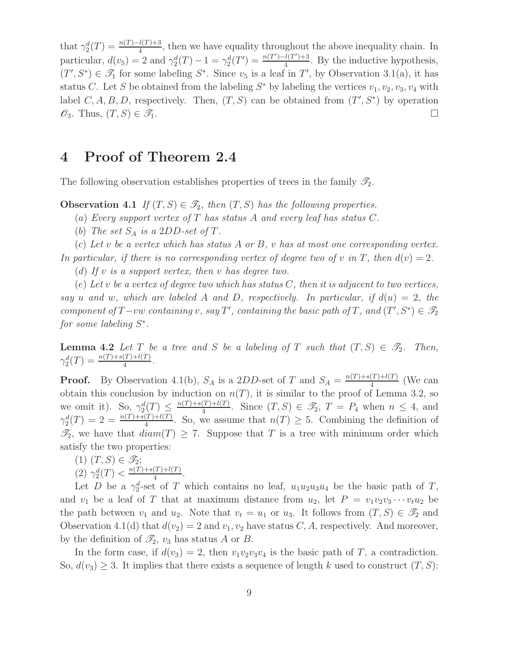that  $\gamma_2^d(T) = \frac{n(T)-l(T)+3}{4}$ , then we have equality throughout the above inequality chain. In 4 particular,  $d(v_5) = 2$  and  $\gamma_2^d(T) - 1 = \gamma_2^d(T') = \frac{n(T') - l(T') + 3}{4}$  $\frac{\mu(T)+3}{4}$ . By the inductive hypothesis,  $(T', S^*) \in \mathcal{T}_1$  for some labeling  $S^*$ . Since  $v_5$  is a leaf in T', by Observation 3.1(a), it has status C. Let S be obtained from the labeling  $S^*$  by labeling the vertices  $v_1, v_2, v_3, v_4$  with label  $C, A, B, D$ , respectively. Then,  $(T, S)$  can be obtained from  $(T', S^*)$  by operation  $\mathscr{O}_3$ . Thus,  $(T, S) \in \mathscr{T}_1$ .

### 4 Proof of Theorem 2.4

The following observation establishes properties of trees in the family  $\mathscr{T}_2$ .

**Observation 4.1** If  $(T, S) \in \mathcal{T}_2$ , then  $(T, S)$  has the following properties.

(a) Every support vertex of T has status A and every leaf has status C.

(b) The set  $S_A$  is a 2DD-set of T.

(c) Let v be a vertex which has status A or B, v has at most one corresponding vertex.

In particular, if there is no corresponding vertex of degree two of v in T, then  $d(v) = 2$ . (d) If v is a support vertex, then v has degree two.

(e) Let v be a vertex of degree two which has status  $C$ , then it is adjacent to two vertices, say u and w, which are labeled A and D, respectively. In particular, if  $d(u) = 2$ , the component of  $T$ -vw containing v, say T', containing the basic path of T, and  $(T', S^*) \in \mathscr{T}_2$ for some labeling  $S^*$ .

**Lemma 4.2** Let T be a tree and S be a labeling of T such that  $(T, S) \in \mathcal{T}_2$ . Then,  $\gamma_2^d(T) = \frac{n(T) + s(T) + l(T)}{4}$ .

**Proof.** By Observation 4.1(b),  $S_A$  is a 2DD-set of T and  $S_A = \frac{n(T) + s(T) + l(T)}{4}$  $\frac{(1)+i(1)}{4}$  (We can obtain this conclusion by induction on  $n(T)$ , it is similar to the proof of Lemma 3.2, so we omit it). So,  $\gamma_2^d(T) \leq \frac{n(T) + s(T) + l(T)}{4}$  $\frac{(T)+l(T)}{4}$ . Since  $(T, S) \in \mathcal{I}_2$ ,  $T = P_4$  when  $n \leq 4$ , and  $\gamma_2^d(T) = 2 = \frac{n(T) + s(T) + l(T)}{4}$ . So, we assume that  $n(T) \geq 5$ . Combining the definition of  $\mathcal{T}_2$ , we have that  $diam(T) \geq 7$ . Suppose that T is a tree with minimum order which satisfy the two properties:

 $(1)$   $(T, S) \in \mathscr{T}_2;$ (2)  $\gamma_2^d(T) < \frac{n(T) + s(T) + l(T)}{4}$  $\frac{(1)+l(1)}{4}$ .

Let D be a  $\gamma_2^d$ -set of T which contains no leaf,  $u_1u_2u_3u_4$  be the basic path of T, and  $v_1$  be a leaf of T that at maximum distance from  $u_2$ , let  $P = v_1v_2v_3\cdots v_tu_2$  be the path between  $v_1$  and  $u_2$ . Note that  $v_t = u_1$  or  $u_3$ . It follows from  $(T, S) \in \mathcal{T}_2$  and Observation 4.1(d) that  $d(v_2) = 2$  and  $v_1, v_2$  have status C, A, respectively. And moreover, by the definition of  $\mathcal{I}_2$ ,  $v_3$  has status A or B.

In the form case, if  $d(v_3) = 2$ , then  $v_1v_2v_3v_4$  is the basic path of T, a contradiction. So,  $d(v_3) \geq 3$ . It implies that there exists a sequence of length k used to construct  $(T, S)$ :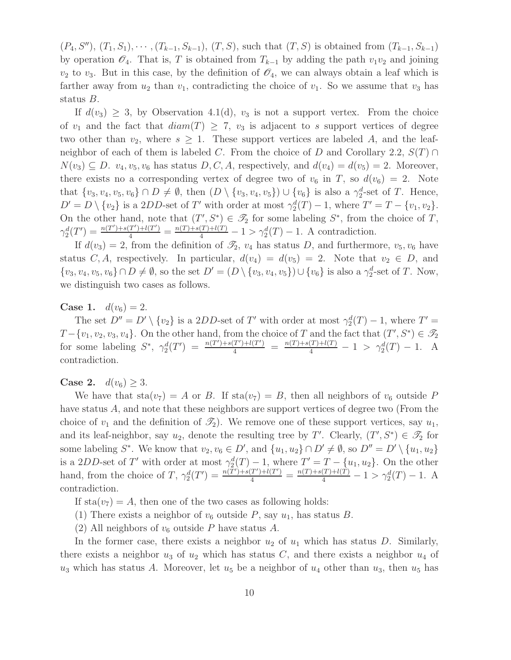$(P_4, S''), (T_1, S_1), \cdots, (T_{k-1}, S_{k-1}), (T, S)$ , such that  $(T, S)$  is obtained from  $(T_{k-1}, S_{k-1})$ by operation  $\mathcal{O}_4$ . That is, T is obtained from  $T_{k-1}$  by adding the path  $v_1v_2$  and joining  $v_2$  to  $v_3$ . But in this case, by the definition of  $\mathscr{O}_4$ , we can always obtain a leaf which is farther away from  $u_2$  than  $v_1$ , contradicting the choice of  $v_1$ . So we assume that  $v_3$  has status B.

If  $d(v_3) \geq 3$ , by Observation 4.1(d),  $v_3$  is not a support vertex. From the choice of  $v_1$  and the fact that  $diam(T) \geq 7$ ,  $v_3$  is adjacent to s support vertices of degree two other than  $v_2$ , where  $s \geq 1$ . These support vertices are labeled A, and the leafneighbor of each of them is labeled C. From the choice of D and Corollary 2.2,  $S(T) \cap$  $N(v_3) \subseteq D$ .  $v_4, v_5, v_6$  has status  $D, C, A$ , respectively, and  $d(v_4) = d(v_5) = 2$ . Moreover, there exists no a corresponding vertex of degree two of  $v_6$  in T, so  $d(v_6) = 2$ . Note that  $\{v_3, v_4, v_5, v_6\} \cap D \neq \emptyset$ , then  $(D \setminus \{v_3, v_4, v_5\}) \cup \{v_6\}$  is also a  $\gamma_2^d$ -set of T. Hence,  $D' = D \setminus \{v_2\}$  is a 2DD-set of T' with order at most  $\gamma_2^d(T) - 1$ , where  $T' = T - \{v_1, v_2\}$ . On the other hand, note that  $(T', S^*) \in \mathcal{I}_2$  for some labeling  $S^*$ , from the choice of T,  $\gamma_2^d(T') = \frac{n(T') + s(T') + l(T')}{4} = \frac{n(T) + s(T) + l(T)}{4} - 1 > \gamma_2^d(T) - 1$ . A contradiction.

If  $d(v_3) = 2$ , from the definition of  $\mathcal{I}_2$ ,  $v_4$  has status D, and furthermore,  $v_5, v_6$  have status C, A, respectively. In particular,  $d(v_4) = d(v_5) = 2$ . Note that  $v_2 \in D$ , and  $\{v_3, v_4, v_5, v_6\} \cap D \neq \emptyset$ , so the set  $D' = (D \setminus \{v_3, v_4, v_5\}) \cup \{v_6\}$  is also a  $\gamma_2^d$ -set of T. Now, we distinguish two cases as follows.

**Case 1.**  $d(v_6) = 2$ .

The set  $D'' = D' \setminus \{v_2\}$  is a 2DD-set of T' with order at most  $\gamma_2^d(T) - 1$ , where  $T' =$  $T-\{v_1, v_2, v_3, v_4\}$ . On the other hand, from the choice of T and the fact that  $(T', S^*) \in \mathscr{T}_2$ for some labeling  $S^*$ ,  $\gamma_2^d(T') = \frac{n(T') + s(T') + l(T')}{4} = \frac{n(T) + s(T) + l(T)}{4} - 1 > \gamma_2^d(T) - 1$ . A contradiction.

**Case 2.**  $d(v_6) \geq 3$ .

We have that  $sta(v_7) = A$  or B. If  $sta(v_7) = B$ , then all neighbors of  $v_6$  outside P have status A, and note that these neighbors are support vertices of degree two (From the choice of  $v_1$  and the definition of  $\mathcal{I}_2$ ). We remove one of these support vertices, say  $u_1$ , and its leaf-neighbor, say  $u_2$ , denote the resulting tree by T'. Clearly,  $(T', S^*) \in \mathcal{T}_2$  for some labeling  $S^*$ . We know that  $v_2, v_6 \in D'$ , and  $\{u_1, u_2\} \cap D' \neq \emptyset$ , so  $D'' = D' \setminus \{u_1, u_2\}$ is a 2DD-set of T' with order at most  $\gamma_2^d(T) - 1$ , where  $T' = T - \{u_1, u_2\}$ . On the other hand, from the choice of T,  $\gamma_2^d(T') = \frac{n(T') + s(T') + l(T')}{4} = \frac{n(T) + s(T) + l(T)}{4} - 1 > \gamma_2^d(T) - 1$ . A contradiction.

If  $sta(v_7) = A$ , then one of the two cases as following holds:

- (1) There exists a neighbor of  $v_6$  outside P, say  $u_1$ , has status B.
- (2) All neighbors of  $v_6$  outside P have status A.

In the former case, there exists a neighbor  $u_2$  of  $u_1$  which has status D. Similarly, there exists a neighbor  $u_3$  of  $u_2$  which has status C, and there exists a neighbor  $u_4$  of  $u_3$  which has status A. Moreover, let  $u_5$  be a neighbor of  $u_4$  other than  $u_3$ , then  $u_5$  has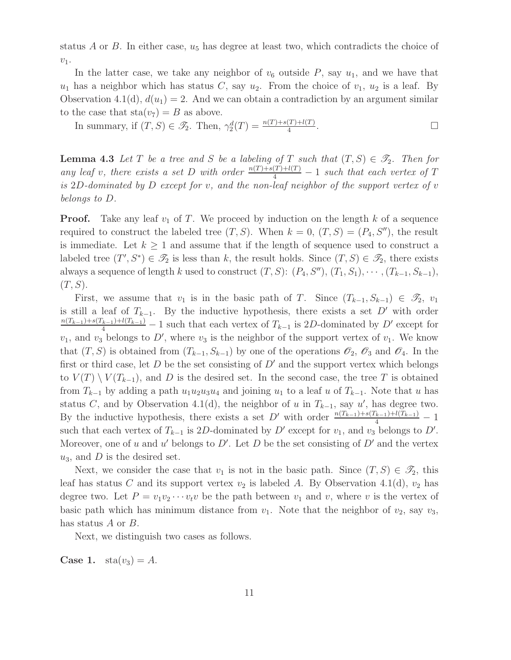status  $A$  or  $B$ . In either case,  $u_5$  has degree at least two, which contradicts the choice of  $v_1$ .

In the latter case, we take any neighbor of  $v_6$  outside P, say  $u_1$ , and we have that  $u_1$  has a neighbor which has status C, say  $u_2$ . From the choice of  $v_1$ ,  $u_2$  is a leaf. By Observation 4.1(d),  $d(u_1) = 2$ . And we can obtain a contradiction by an argument similar to the case that  $sta(v_7) = B$  as above.

In summary, if  $(T, S) \in \mathcal{I}_2$ . Then,  $\gamma_2^d(T) = \frac{n(T) + s(T) + l(T)}{4}$ .

**Lemma 4.3** Let T be a tree and S be a labeling of T such that  $(T, S) \in \mathcal{T}_2$ . Then for any leaf v, there exists a set D with order  $\frac{n(T)+s(T)+l(T)}{4} - 1$  such that each vertex of T is 2D-dominated by D except for v, and the non-leaf neighbor of the support vertex of  $v$ belongs to D.

**Proof.** Take any leaf  $v_1$  of T. We proceed by induction on the length k of a sequence required to construct the labeled tree  $(T, S)$ . When  $k = 0$ ,  $(T, S) = (P_4, S'')$ , the result is immediate. Let  $k \geq 1$  and assume that if the length of sequence used to construct a labeled tree  $(T', S^*) \in \mathcal{T}_2$  is less than k, the result holds. Since  $(T, S) \in \mathcal{T}_2$ , there exists always a sequence of length k used to construct  $(T, S)$ :  $(P_4, S'')$ ,  $(T_1, S_1)$ ,  $\cdots$ ,  $(T_{k-1}, S_{k-1})$ ,  $(T, S)$ .

First, we assume that  $v_1$  is in the basic path of T. Since  $(T_{k-1}, S_{k-1}) \in \mathcal{T}_2$ ,  $v_1$ is still a leaf of  $T_{k-1}$ . By the inductive hypothesis, there exists a set D' with order  $\frac{n(T_{k-1})+s(T_{k-1})+l(T_{k-1})}{4}$  – 1 such that each vertex of  $T_{k-1}$  is 2D-dominated by D' except for  $v_1$ , and  $v_3$  belongs to D', where  $v_3$  is the neighbor of the support vertex of  $v_1$ . We know that  $(T, S)$  is obtained from  $(T_{k-1}, S_{k-1})$  by one of the operations  $\mathscr{O}_2$ ,  $\mathscr{O}_3$  and  $\mathscr{O}_4$ . In the first or third case, let  $D$  be the set consisting of  $D'$  and the support vertex which belongs to  $V(T) \setminus V(T_{k-1})$ , and D is the desired set. In the second case, the tree T is obtained from  $T_{k-1}$  by adding a path  $u_1u_2u_3u_4$  and joining  $u_1$  to a leaf u of  $T_{k-1}$ . Note that u has status C, and by Observation 4.1(d), the neighbor of u in  $T_{k-1}$ , say u', has degree two. By the inductive hypothesis, there exists a set D' with order  $\frac{n(T_{k-1})+s(T_{k-1})+l(T_{k-1})}{4}-1$ such that each vertex of  $T_{k-1}$  is 2D-dominated by D' except for  $v_1$ , and  $v_3$  belongs to D'. Moreover, one of u and u' belongs to  $D'$ . Let D be the set consisting of  $D'$  and the vertex  $u_3$ , and D is the desired set.

Next, we consider the case that  $v_1$  is not in the basic path. Since  $(T, S) \in \mathcal{I}_2$ , this leaf has status C and its support vertex  $v_2$  is labeled A. By Observation 4.1(d),  $v_2$  has degree two. Let  $P = v_1v_2\cdots v_tv$  be the path between  $v_1$  and  $v$ , where  $v$  is the vertex of basic path which has minimum distance from  $v_1$ . Note that the neighbor of  $v_2$ , say  $v_3$ , has status A or B.

Next, we distinguish two cases as follows.

**Case 1.**  $sta(v_3) = A$ .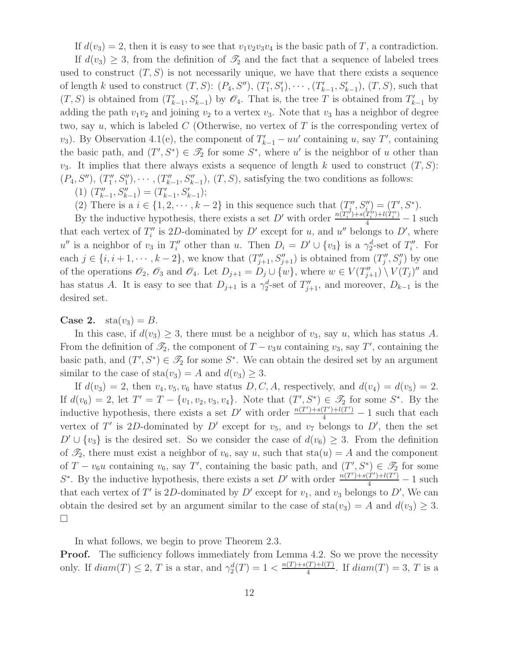If  $d(v_3) = 2$ , then it is easy to see that  $v_1v_2v_3v_4$  is the basic path of T, a contradiction.

If  $d(v_3) \geq 3$ , from the definition of  $\mathcal{T}_2$  and the fact that a sequence of labeled trees used to construct  $(T, S)$  is not necessarily unique, we have that there exists a sequence of length k used to construct  $(T, S)$ :  $(P_4, S'')$ ,  $(T'_1)$  $(T'_1, S'_1), \cdots, (T'_{k-1}, S'_{k-1}), (T, S),$  such that  $(T, S)$  is obtained from  $(T'_{k-1}, S'_{k-1})$  by  $\mathcal{O}_4$ . That is, the tree T is obtained from  $T'_{k-1}$  by adding the path  $v_1v_2$  and joining  $v_2$  to a vertex  $v_3$ . Note that  $v_3$  has a neighbor of degree two, say u, which is labeled  $C$  (Otherwise, no vertex of  $T$  is the corresponding vertex of  $(v_3)$ . By Observation 4.1(e), the component of  $T'_{k-1} - uu'$  containing u, say T', containing the basic path, and  $(T', S^*) \in \mathcal{T}_2$  for some  $S^*$ , where u' is the neighbor of u other than  $v_3$ . It implies that there always exists a sequence of length k used to construct  $(T, S)$ :  $(P_4, S''), (T''_1)$  $(T''_1, S''_1), \cdots, (T''_{k-1}, S''_{k-1}), (T, S),$  satisfying the two conditions as follows:

(1)  $(T''_{k-1}, S''_{k-1}) = (T'_{k-1}, S'_{k-1});$ 

(2) There is a  $i \in \{1, 2, \dots, k-2\}$  in this sequence such that  $(T''_i)$  $S''_i, S''_i = (T', S^*).$ 

By the inductive hypothesis, there exists a set D' with order  $\frac{n(T_i'') + s(T_i'') + l(T_i'') - 1}{4}$  such that each vertex of  $T''_i$ " is 2D-dominated by  $D'$  except for u, and u'' belongs to D', where  $u''$  is a neighbor of  $v_3$  in  $T''_i$  other than u. Then  $D_i = D' \cup \{v_3\}$  is a  $\gamma_2^d$ -set of  $T''_i$  $i''$ . For each  $j \in \{i, i+1, \dots, k-2\}$ , we know that  $(T''_{j+1}, S''_{j+1})$  is obtained from  $(T''_j)$  $j''$ ,  $S''_j$ ) by one of the operations  $\mathscr{O}_2$ ,  $\mathscr{O}_3$  and  $\mathscr{O}_4$ . Let  $D_{j+1} = D_j \cup \{w\}$ , where  $w \in V(T''_{j+1}) \setminus V(T_j)''$  and has status A. It is easy to see that  $D_{j+1}$  is a  $\gamma_2^d$ -set of  $T''_{j+1}$ , and moreover,  $D_{k-1}$  is the desired set.

**Case 2.**  $\text{sta}(v_3) = B$ .

In this case, if  $d(v_3) \geq 3$ , there must be a neighbor of  $v_3$ , say u, which has status A. From the definition of  $\mathcal{I}_2$ , the component of  $T - v_3u$  containing  $v_3$ , say T', containing the basic path, and  $(T', S^*) \in \mathcal{I}_2$  for some  $S^*$ . We can obtain the desired set by an argument similar to the case of  $sta(v_3) = A$  and  $d(v_3) \geq 3$ .

If  $d(v_3) = 2$ , then  $v_4, v_5, v_6$  have status  $D, C, A$ , respectively, and  $d(v_4) = d(v_5) = 2$ . If  $d(v_6) = 2$ , let  $T' = T - \{v_1, v_2, v_3, v_4\}$ . Note that  $(T', S^*) \in \mathcal{T}_2$  for some  $S^*$ . By the inductive hypothesis, there exists a set D' with order  $\frac{n(T') + s(T') + l(T')}{4} - 1$  such that each vertex of T' is 2D-dominated by D' except for  $v_5$ , and  $v_7$  belongs to D', then the set  $D' \cup \{v_3\}$  is the desired set. So we consider the case of  $d(v_6) \geq 3$ . From the definition of  $\mathcal{I}_2$ , there must exist a neighbor of  $v_6$ , say u, such that  $sta(u) = A$  and the component of  $T - v_6u$  containing  $v_6$ , say T', containing the basic path, and  $(T', S^*) \in \mathscr{T}_2$  for some  $S^*$ . By the inductive hypothesis, there exists a set D' with order  $\frac{n(T') + s(T') + l(T')}{4} - 1$  such that each vertex of T' is 2D-dominated by  $D'$  except for  $v_1$ , and  $v_3$  belongs to D', We can obtain the desired set by an argument similar to the case of  $sta(v_3) = A$  and  $d(v_3) \geq 3$ .  $\Box$ 

In what follows, we begin to prove Theorem 2.3.

**Proof.** The sufficiency follows immediately from Lemma 4.2. So we prove the necessity only. If  $diam(T) \leq 2$ , T is a star, and  $\gamma_2^d(T) = 1 < \frac{n(T) + s(T) + l(T)}{4}$  $\frac{(1)+i(1)}{4}$ . If  $diam(T) = 3, T$  is a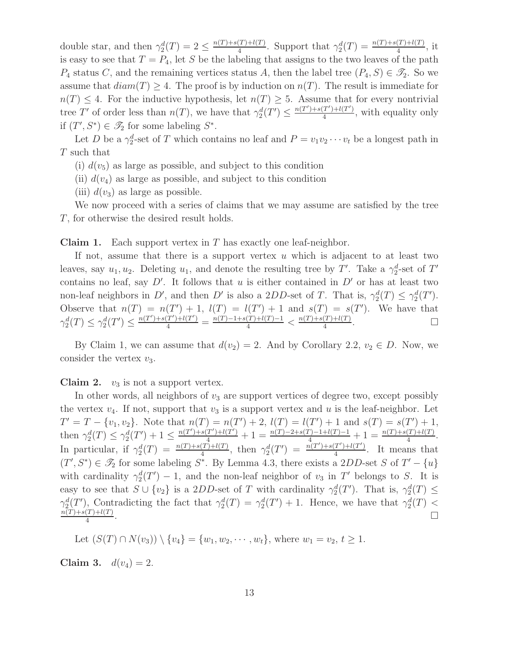double star, and then  $\gamma_2^d(T) = 2 \leq \frac{n(T) + s(T) + l(T)}{4}$  $\frac{\Gamma(T)+l(T)}{4}$ . Support that  $\gamma_2^d(T) = \frac{n(T)+s(T)+l(T)}{4}$ , it is easy to see that  $T = P_4$ , let S be the labeling that assigns to the two leaves of the path  $P_4$  status C, and the remaining vertices status A, then the label tree  $(P_4, S) \in \mathcal{I}_2$ . So we assume that  $diam(T) \geq 4$ . The proof is by induction on  $n(T)$ . The result is immediate for  $n(T) \leq 4$ . For the inductive hypothesis, let  $n(T) \geq 5$ . Assume that for every nontrivial tree T' of order less than  $n(T)$ , we have that  $\gamma_2^d(T') \leq \frac{n(T') + s(T') + l(T')}{4}$  $\frac{1}{4}$ , with equality only if  $(T', S^*) \in \mathcal{S}_2$  for some labeling  $S^*$ .

Let D be a  $\gamma_2^d$ -set of T which contains no leaf and  $P = v_1v_2\cdots v_t$  be a longest path in T such that

(i)  $d(v_5)$  as large as possible, and subject to this condition

(ii)  $d(v_4)$  as large as possible, and subject to this condition

(iii)  $d(v_3)$  as large as possible.

We now proceed with a series of claims that we may assume are satisfied by the tree T, for otherwise the desired result holds.

**Claim 1.** Each support vertex in  $T$  has exactly one leaf-neighbor.

If not, assume that there is a support vertex  $u$  which is adjacent to at least two leaves, say  $u_1, u_2$ . Deleting  $u_1$ , and denote the resulting tree by T'. Take a  $\gamma_2^d$ -set of T' contains no leaf, say  $D'$ . It follows that u is either contained in  $D'$  or has at least two non-leaf neighbors in D', and then D' is also a 2DD-set of T. That is,  $\gamma_2^d(T) \leq \gamma_2^d(T')$ . Observe that  $n(T) = n(T') + 1$ ,  $l(T) = l(T') + 1$  and  $s(T) = s(T')$ . We have that  $\gamma_2^d(T) \leq \gamma_2^d(T') \leq \frac{n(T') + s(T') + l(T')}{4} = \frac{n(T) - 1 + s(T) + l(T) - 1}{4} < \frac{n(T) + s(T) + l(T)}{4}$  $\frac{(T)+l(T)}{4}$ .

By Claim 1, we can assume that  $d(v_2) = 2$ . And by Corollary 2.2,  $v_2 \in D$ . Now, we consider the vertex  $v_3$ .

**Claim 2.**  $v_3$  is not a support vertex.

In other words, all neighbors of  $v_3$  are support vertices of degree two, except possibly the vertex  $v_4$ . If not, support that  $v_3$  is a support vertex and u is the leaf-neighbor. Let  $T' = T - \{v_1, v_2\}$ . Note that  $n(T) = n(T') + 2$ ,  $l(T) = l(T') + 1$  and  $s(T) = s(T') + 1$ , then  $\gamma_2^d(T) \leq \gamma_2^d(T') + 1 \leq \frac{n(T') + s(T') + l(T')}{4} + 1 = \frac{n(T) - 2 + s(T) - 1 + l(T) - 1}{4} + 1 = \frac{n(T) + s(T') + l(T)}{4}$ . In particular, if  $\gamma_2^d(T) = \frac{n(T) + s(T) + l(T)}{4}$ , then  $\gamma_2^d(T') = \frac{n(T') + s(T') + l(T')}{4}$  $\frac{T^{(1)}+l(T^{(1)})}{4}$ . It means that  $(T', S^*) \in \mathscr{T}_2$  for some labeling  $S^*$ . By Lemma 4.3, there exists a 2DD-set S of  $T' - \{u\}$ with cardinality  $\gamma_2^d(T')-1$ , and the non-leaf neighbor of  $v_3$  in T' belongs to S. It is easy to see that  $S \cup \{v_2\}$  is a 2DD-set of T with cardinality  $\gamma_2^d(T')$ . That is,  $\gamma_2^d(T) \leq$  $\gamma_2^d(T')$ , Contradicting the fact that  $\gamma_2^d(T) = \gamma_2^d(T') + 1$ . Hence, we have that  $\gamma_2^d(T)$  $n(T)+s(T)+l(T)$ 4 .

Let 
$$
(S(T) \cap N(v_3)) \setminus \{v_4\} = \{w_1, w_2, \dots, w_t\}
$$
, where  $w_1 = v_2, t \ge 1$ .

Claim 3.  $d(v_4) = 2$ .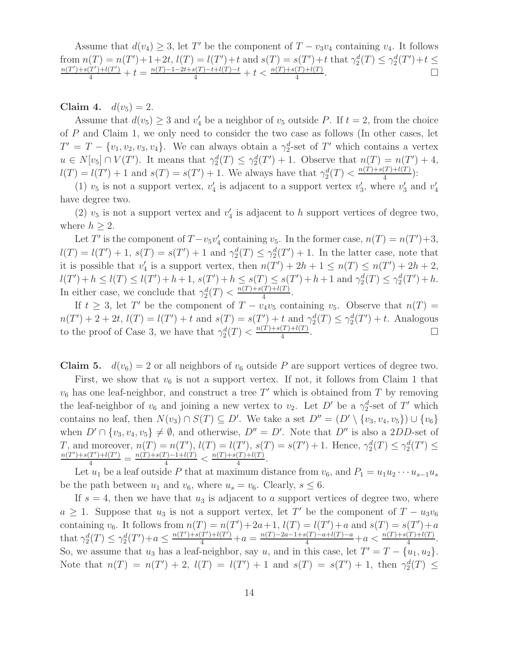Assume that  $d(v_4) \geq 3$ , let T' be the component of  $T - v_3v_4$  containing  $v_4$ . It follows from  $n(T) = n(T') + 1 + 2t$ ,  $l(T) = l(T') + t$  and  $s(T) = s(T') + t$  that  $\gamma_2^d(T) \leq \gamma_2^d(T') + t \leq$  $\frac{n(T') + s(T') + l(T')}{4} + t = \frac{n(T) - 1 - 2t + s(T) - t + l(T) - t}{4} + t < \frac{n(T) + s(T) + l(T)}{4}$ .

Claim 4.  $d(v_5) = 2$ .

Assume that  $d(v_5) \geq 3$  and  $v_4'$  be a neighbor of  $v_5$  outside P. If  $t = 2$ , from the choice of P and Claim 1, we only need to consider the two case as follows (In other cases, let  $T' = T - \{v_1, v_2, v_3, v_4\}.$  We can always obtain a  $\gamma_2^d$ -set of T' which contains a vertex  $u \in N[v_5] \cap V(T')$ . It means that  $\gamma_2^d(T) \leq \gamma_2^d(T') + 1$ . Observe that  $n(T) = n(T') + 4$ ,  $l(T) = l(T') + 1$  and  $s(T) = s(T') + 1$ . We always have that  $\gamma_2^d(T) < \frac{n(T) + s(T) + l(T)}{4}$  $\frac{(T)+l(T)}{4}$ :

(1)  $v_5$  is not a support vertex,  $v_4'$  $\frac{1}{4}$  is adjacent to a support vertex  $v_3'$  $y'_3$ , where  $v'_3$  and  $v'_4$ 4 have degree two.

(2)  $v_5$  is not a support vertex and  $v_4'$  $\frac{1}{4}$  is adjacent to h support vertices of degree two, where  $h \geq 2$ .

Let T' is the component of  $T - v_5v'_4$ 's containing  $v_5$ . In the former case,  $n(T) = n(T') + 3$ ,  $l(T) = l(T') + 1$ ,  $s(T) = s(T') + 1$  and  $\gamma_2^d(T) \leq \gamma_2^d(T') + 1$ . In the latter case, note that it is possible that  $v_4'$  $u'_4$  is a support vertex, then  $n(T') + 2h + 1 \le n(T) \le n(T') + 2h + 2$ ,  $l(T') + h \le l(T) \le l(T') + h + 1, s(T') + h \le s(T) \le s(T') + h + 1 \text{ and } \gamma_2^d(T) \le \gamma_2^d(T') + h.$ In either case, we conclude that  $\gamma_2^d(T) < \frac{n(T) + s(T) + l(T)}{4}$  $\frac{(1)+i(1)}{4}$ .

If  $t \geq 3$ , let T' be the component of  $T - v_4v_5$  containing  $v_5$ . Observe that  $n(T) =$  $n(T') + 2 + 2t$ ,  $l(T) = l(T') + t$  and  $s(T) = s(T') + t$  and  $\gamma_2^d(T) \leq \gamma_2^d(T') + t$ . Analogous to the proof of Case 3, we have that  $\gamma_2^d(T) < \frac{n(T) + s(T) + l(T)}{4}$ 4 . — Первый процесс в постановки программа в серверном становки производительно становки производительно станов<br>В серверном становки производительно становки производительно становки производительно становки производительн

**Claim 5.**  $d(v_6) = 2$  or all neighbors of  $v_6$  outside P are support vertices of degree two.

First, we show that  $v_6$  is not a support vertex. If not, it follows from Claim 1 that  $v_6$  has one leaf-neighbor, and construct a tree  $T'$  which is obtained from T by removing the leaf-neighbor of  $v_6$  and joining a new vertex to  $v_2$ . Let D' be a  $\gamma_2^d$ -set of T' which contains no leaf, then  $N(v_3) \cap S(T) \subseteq D'$ . We take a set  $D'' = (D' \setminus \{v_3, v_4, v_5\}) \cup \{v_6\}$ when  $D' \cap \{v_3, v_4, v_5\} \neq \emptyset$ , and otherwise,  $D'' = D'$ . Note that  $D''$  is also a 2DD-set of T, and moreover,  $n(T) = n(T')$ ,  $l(T) = l(T')$ ,  $s(T) = s(T') + 1$ . Hence,  $\gamma_2^d(T) \leq \gamma_2^d(T') \leq$  $\frac{n(T') + s(T') + l(T')}{4} = \frac{n(T) + s(T) - 1 + l(T)}{4} < \frac{n(T) + s(T) + l(T)}{4}$  $\frac{(1)+l(1)}{4}$ .

Let  $u_1$  be a leaf outside P that at maximum distance from  $v_6$ , and  $P_1 = u_1u_2 \cdots u_{s-1}u_s$ be the path between  $u_1$  and  $v_6$ , where  $u_s = v_6$ . Clearly,  $s \leq 6$ .

If  $s = 4$ , then we have that  $u_3$  is adjacent to a support vertices of degree two, where  $a \geq 1$ . Suppose that  $u_3$  is not a support vertex, let T' be the component of  $T - u_3v_6$ containing  $v_6$ . It follows from  $n(T) = n(T') + 2a + 1$ ,  $l(T) = l(T') + a$  and  $s(T) = s(T') + a$ that  $\gamma_2^d(T) \leq \gamma_2^d(T') + a \leq \frac{n(T') + s(T') + l(T')}{4} + a = \frac{n(T) - 2a - 1 + s(T) - a + l(T) - a}{4} + a < \frac{n(T) + s(T) + l(T)}{4}$ . So, we assume that  $u_3$  has a leaf-neighbor, say u, and in this case, let  $T' = T - \{u_1, u_2\}$ . Note that  $n(T) = n(T') + 2$ ,  $l(T) = l(T') + 1$  and  $s(T) = s(T') + 1$ , then  $\gamma_2^d(T) \leq$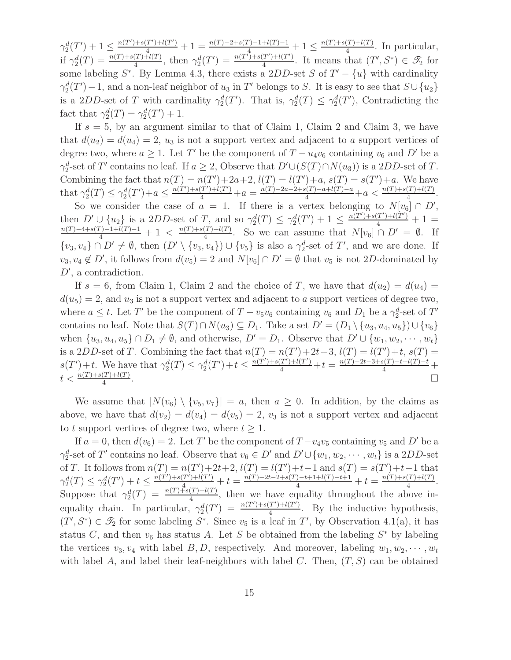$\gamma_2^d(T') + 1 \leq \frac{n(T') + s(T') + l(T')}{4} + 1 = \frac{n(T) - 2 + s(T) - 1 + l(T) - 1}{4} + 1 \leq \frac{n(T) + s(T) + l(T)}{4}$  $\frac{(1)+i(1)}{4}$ . In particular, if  $\gamma_2^d(T) = \frac{n(T) + s(T)^{-1} l(T)}{4}$ , then  $\gamma_2^d(T') = \frac{n(T^{\tau}) + s(T') + l(T')}{4}$  $\frac{(T') + l(T')}{4}$ . It means that  $(T', S^*) \in \mathcal{T}_2$  for some labeling  $S^*$ . By Lemma 4.3, there exists a 2DD-set S of  $T' - \{u\}$  with cardinality  $\gamma_2^d(T') - 1$ , and a non-leaf neighbor of  $u_3$  in T' belongs to S. It is easy to see that  $S \cup \{u_2\}$ is a 2DD-set of T with cardinality  $\gamma_2^d(T')$ . That is,  $\gamma_2^d(T) \leq \gamma_2^d(T')$ , Contradicting the fact that  $\gamma_2^d(T) = \gamma_2^d(T') + 1$ .

If  $s = 5$ , by an argument similar to that of Claim 1, Claim 2 and Claim 3, we have that  $d(u_2) = d(u_4) = 2$ ,  $u_3$  is not a support vertex and adjacent to a support vertices of degree two, where  $a \geq 1$ . Let T' be the component of  $T - u_4v_6$  containing  $v_6$  and D' be a  $\gamma_2^d$ -set of T' contains no leaf. If  $a \geq 2$ , Observe that  $D' \cup (S(T) \cap N(u_3))$  is a 2DD-set of T. Combining the fact that  $n(T) = n(T') + 2a + 2$ ,  $l(T) = l(T') + a$ ,  $s(T) = s(T') + a$ . We have that  $\gamma_2^d(T) \leq \gamma_2^d(T') + a \leq \frac{n(T') + s(T') + l(T')}{4} + a = \frac{n(T) - 2a - 2 + s(T) - a + l(T) - a}{4} + a < \frac{n(T) + s(T) + l(T)}{4}$ .

So we consider the case of  $a = 1$ . If there is a vertex belonging to  $N[v_6] \cap D'$ , then  $D' \cup \{u_2\}$  is a 2DD-set of T, and so  $\gamma_2^d(T) \leq \gamma_2^d(T') + 1 \leq \frac{n(T') + s(T') + l(T')}{4} + 1 =$  $\frac{n(T)-4+s(T)-1+l(T)-1}{4}+1 < \frac{n(T)+s(T)+l(T)}{4}$  $\frac{(T)+l(T)}{4}$ . So we can assume that  $N[v_6] \cap D' = \emptyset$ . If  $\{v_3, v_4\} \cap D' \neq \emptyset$ , then  $(D' \setminus \{v_3, v_4\}) \cup \{v_5\}$  is also a  $\gamma_2^d$ -set of T', and we are done. If  $v_3, v_4 \notin D'$ , it follows from  $d(v_5) = 2$  and  $N[v_6] \cap D' = \emptyset$  that  $v_5$  is not 2D-dominated by  $D'$ , a contradiction.

If  $s = 6$ , from Claim 1, Claim 2 and the choice of T, we have that  $d(u_2) = d(u_4) =$  $d(u_5) = 2$ , and  $u_3$  is not a support vertex and adjacent to a support vertices of degree two, where  $a \leq t$ . Let T' be the component of  $T - v_5v_6$  containing  $v_6$  and  $D_1$  be a  $\gamma_2^d$ -set of T' contains no leaf. Note that  $S(T) \cap N(u_3) \subseteq D_1$ . Take a set  $D' = (D_1 \setminus \{u_3, u_4, u_5\}) \cup \{v_6\}$ when  $\{u_3, u_4, u_5\} \cap D_1 \neq \emptyset$ , and otherwise,  $D' = D_1$ . Observe that  $D' \cup \{w_1, w_2, \dots, w_t\}$ is a 2DD-set of T. Combining the fact that  $n(T) = n(T') + 2t + 3$ ,  $l(T) = l(T') + t$ ,  $s(T) =$  $s(T') + t$ . We have that  $\gamma_2^d(T) \leq \gamma_2^d(T') + t \leq \frac{n(T') + s(T') + l(T')}{4} + t = \frac{n(T') - 2t - 3 + s(T) - t + l(T') - t}{4} +$  $t < \frac{n(T) + s(T) + l(T)}{4}$ . В последните поставите на селото на селото на селото на селото на селото на селото на селото на селото на се<br>В селото на селото на селото на селото на селото на селото на селото на селото на селото на селото на селото н

We assume that  $|N(v_6) \setminus \{v_5, v_7\}| = a$ , then  $a \ge 0$ . In addition, by the claims as above, we have that  $d(v_2) = d(v_4) = d(v_5) = 2$ ,  $v_3$  is not a support vertex and adjacent to t support vertices of degree two, where  $t \geq 1$ .

If  $a = 0$ , then  $d(v_6) = 2$ . Let T' be the component of  $T - v_4v_5$  containing  $v_5$  and D' be a  $\gamma_2^d$ -set of T' contains no leaf. Observe that  $v_6 \in D'$  and  $D' \cup \{w_1, w_2, \cdots, w_t\}$  is a 2DD-set of T. It follows from  $n(T) = n(T') + 2t + 2$ ,  $l(T) = l(T') + t - 1$  and  $s(T) = s(T') + t - 1$  that  $\gamma_2^d(T) \leq \gamma_2^d(T') + t \leq \frac{n(T') + s(T') + l(T')}{\sqrt{T}} + t = \frac{n(T) - 2t - 2 + s(T) - t + 1 + l(T) - t + 1}{4} + t = \frac{n(T) + s(T) + l(T)}{4}$  $\frac{(1)+i(1)}{4}$ . Suppose that  $\gamma_2^d(T) = \frac{n(T) + s(T) + l(T)}{4}$ , then we have equality throughout the above inequality chain. In particular,  $\gamma_2^d(T') = \frac{n(T') + s(T') + l(T')}{4}$  $\frac{1}{4}$ . By the inductive hypothesis,  $(T', S^*) \in \mathscr{T}_2$  for some labeling  $S^*$ . Since  $v_5$  is a leaf in T', by Observation 4.1(a), it has status C, and then  $v_6$  has status A. Let S be obtained from the labeling  $S^*$  by labeling the vertices  $v_3, v_4$  with label  $B, D$ , respectively. And moreover, labeling  $w_1, w_2, \cdots, w_t$ with label A, and label their leaf-neighbors with label C. Then,  $(T, S)$  can be obtained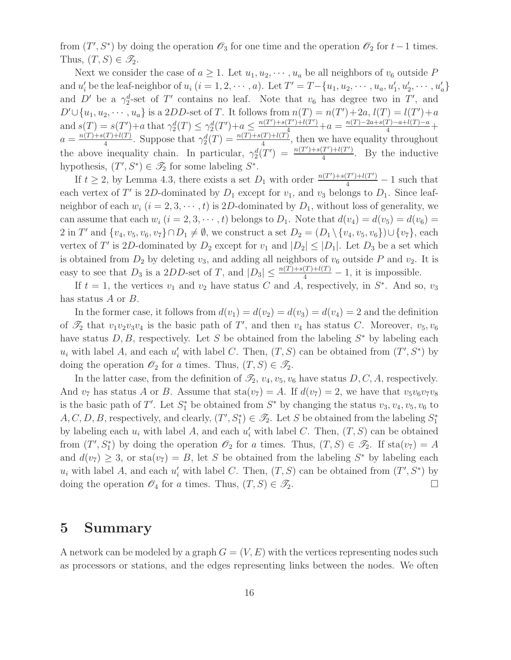from  $(T', S^*)$  by doing the operation  $\mathscr{O}_3$  for one time and the operation  $\mathscr{O}_2$  for  $t-1$  times. Thus,  $(T, S) \in \mathscr{T}_2$ .

Next we consider the case of  $a \geq 1$ . Let  $u_1, u_2, \dots, u_a$  be all neighbors of  $v_6$  outside P and  $u'_i$  be the leaf-neighbor of  $u_i$   $(i = 1, 2, \dots, a)$ . Let  $T' = T - \{u_1, u_2, \dots, u_a, u'_1, u'_2, \dots, u'_a\}$ and D' be a  $\gamma_2^d$ -set of T' contains no leaf. Note that  $v_6$  has degree two in T', and  $D' \cup \{u_1, u_2, \cdots, u_a\}$  is a 2DD-set of T. It follows from  $n(T) = n(T') + 2a$ ,  $l(T) = l(T') + a$ and  $s(T) = s(T') + a$  that  $\gamma_2^d(T) \leq \gamma_2^d(T') + a \leq \frac{n(T') + s(T') + l(T')}{\gamma_2^d} + a = \frac{n(T) - 2a + s(T) - a + l(T) - a}{4} +$  $a = \frac{n(T) + s(T) + l(T)}{4}$  $\frac{(T)+l(T)}{4}$ . Suppose that  $\gamma_2^d(T) = \frac{n(T)+s(T)+l(T)}{4}$ , then we have equality throughout the above inequality chain. In particular,  $\gamma_2^d(T') = \frac{n(T') + s(T') + l(T')}{4}$  $\frac{1}{4}$ . By the inductive hypothesis,  $(T', S^*) \in \mathscr{T}_2$  for some labeling  $S^*$ .

If  $t \geq 2$ , by Lemma 4.3, there exists a set  $D_1$  with order  $\frac{n(T') + s(T') + l(T')}{4} - 1$  such that each vertex of T' is 2D-dominated by  $D_1$  except for  $v_1$ , and  $v_3$  belongs to  $D_1$ . Since leafneighbor of each  $w_i$   $(i = 2, 3, \dots, t)$  is 2D-dominated by  $D_1$ , without loss of generality, we can assume that each  $w_i$   $(i = 2, 3, \dots, t)$  belongs to  $D_1$ . Note that  $d(v_4) = d(v_5) = d(v_6)$ 2 in T' and  $\{v_4, v_5, v_6, v_7\} \cap D_1 \neq \emptyset$ , we construct a set  $D_2 = (D_1 \setminus \{v_4, v_5, v_6\}) \cup \{v_7\}$ , each vertex of T' is 2D-dominated by  $D_2$  except for  $v_1$  and  $|D_2| \leq |D_1|$ . Let  $D_3$  be a set which is obtained from  $D_2$  by deleting  $v_3$ , and adding all neighbors of  $v_6$  outside P and  $v_2$ . It is easy to see that  $D_3$  is a 2DD-set of T, and  $|D_3| \leq \frac{n(T) + s(T) + l(T)}{4} - 1$ , it is impossible.

If  $t = 1$ , the vertices  $v_1$  and  $v_2$  have status C and A, respectively, in  $S^*$ . And so,  $v_3$ has status A or B.

In the former case, it follows from  $d(v_1) = d(v_2) = d(v_3) = d(v_4) = 2$  and the definition of  $\mathcal{T}_2$  that  $v_1v_2v_3v_4$  is the basic path of T', and then  $v_4$  has status C. Moreover,  $v_5, v_6$ have status  $D, B$ , respectively. Let S be obtained from the labeling  $S^*$  by labeling each  $u_i$  with label A, and each  $u'_i$  with label C. Then,  $(T, S)$  can be obtained from  $(T', S^*)$  by doing the operation  $\mathscr{O}_2$  for a times. Thus,  $(T, S) \in \mathscr{T}_2$ .

In the latter case, from the definition of  $\mathcal{I}_2$ ,  $v_4$ ,  $v_5$ ,  $v_6$  have status D, C, A, respectively. And  $v_7$  has status A or B. Assume that  $\text{sta}(v_7) = A$ . If  $d(v_7) = 2$ , we have that  $v_5v_6v_7v_8$ is the basic path of T'. Let  $S_1^*$  be obtained from  $S^*$  by changing the status  $v_3, v_4, v_5, v_6$  to  $A, C, D, B$ , respectively, and clearly,  $(T', S_1^*) \in \mathscr{T}_2$ . Let S be obtained from the labeling  $S_1^*$ 1 by labeling each  $u_i$  with label A, and each  $u'_i$  with label C. Then,  $(T, S)$  can be obtained from  $(T', S_1^*)$  by doing the operation  $\mathcal{O}_2$  for a times. Thus,  $(T, S) \in \mathcal{I}_2$ . If  $sta(v_7) = A$ and  $d(v_7) \geq 3$ , or sta $(v_7) = B$ , let S be obtained from the labeling S<sup>\*</sup> by labeling each  $u_i$  with label A, and each  $u'_i$  with label C. Then,  $(T, S)$  can be obtained from  $(T', S^*)$  by doing the operation  $\mathscr{O}_4$  for a times. Thus,  $(T, S) \in \mathscr{T}_2$ .

### 5 Summary

A network can be modeled by a graph  $G = (V, E)$  with the vertices representing nodes such as processors or stations, and the edges representing links between the nodes. We often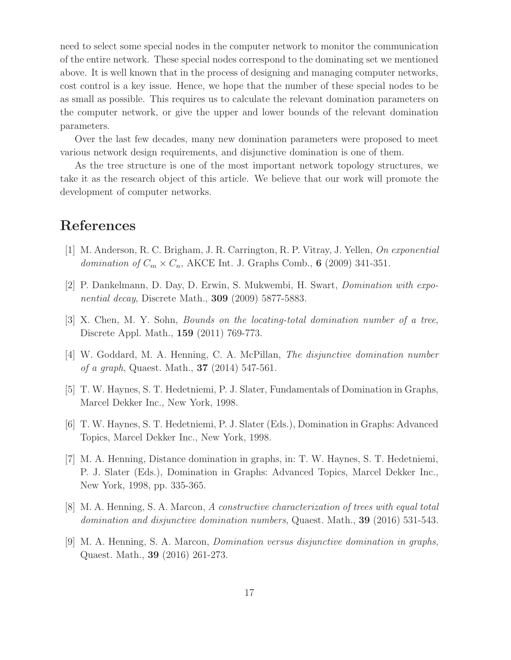need to select some special nodes in the computer network to monitor the communication of the entire network. These special nodes correspond to the dominating set we mentioned above. It is well known that in the process of designing and managing computer networks, cost control is a key issue. Hence, we hope that the number of these special nodes to be as small as possible. This requires us to calculate the relevant domination parameters on the computer network, or give the upper and lower bounds of the relevant domination parameters.

Over the last few decades, many new domination parameters were proposed to meet various network design requirements, and disjunctive domination is one of them.

As the tree structure is one of the most important network topology structures, we take it as the research object of this article. We believe that our work will promote the development of computer networks.

# References

- [1] M. Anderson, R. C. Brigham, J. R. Carrington, R. P. Vitray, J. Yellen, On exponential domination of  $C_m \times C_n$ , AKCE Int. J. Graphs Comb., 6 (2009) 341-351.
- [2] P. Dankelmann, D. Day, D. Erwin, S. Mukwembi, H. Swart, Domination with exponential decay, Discrete Math., 309 (2009) 5877-5883.
- [3] X. Chen, M. Y. Sohn, Bounds on the locating-total domination number of a tree, Discrete Appl. Math., 159 (2011) 769-773.
- [4] W. Goddard, M. A. Henning, C. A. McPillan, The disjunctive domination number of a graph, Quaest. Math., 37 (2014) 547-561.
- [5] T. W. Haynes, S. T. Hedetniemi, P. J. Slater, Fundamentals of Domination in Graphs, Marcel Dekker Inc., New York, 1998.
- [6] T. W. Haynes, S. T. Hedetniemi, P. J. Slater (Eds.), Domination in Graphs: Advanced Topics, Marcel Dekker Inc., New York, 1998.
- [7] M. A. Henning, Distance domination in graphs, in: T. W. Haynes, S. T. Hedetniemi, P. J. Slater (Eds.), Domination in Graphs: Advanced Topics, Marcel Dekker Inc., New York, 1998, pp. 335-365.
- [8] M. A. Henning, S. A. Marcon, A constructive characterization of trees with equal total domination and disjunctive domination numbers, Quaest. Math., **39** (2016) 531-543.
- [9] M. A. Henning, S. A. Marcon, Domination versus disjunctive domination in graphs, Quaest. Math., 39 (2016) 261-273.